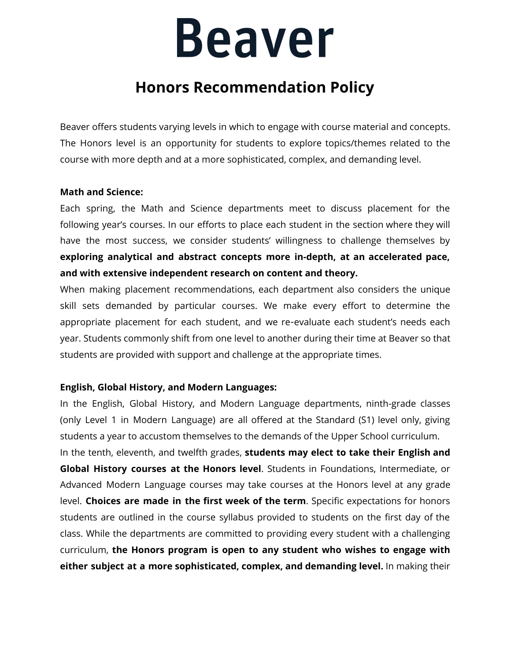## **Beaver**

### **Honors Recommendation Policy**

Beaver offers students varying levels in which to engage with course material and concepts. The Honors level is an opportunity for students to explore topics/themes related to the course with more depth and at a more sophisticated, complex, and demanding level.

#### **Math and Science:**

Each spring, the Math and Science departments meet to discuss placement for the following year's courses. In our efforts to place each student in the section where they will have the most success, we consider students' willingness to challenge themselves by **exploring analytical and abstract concepts more in-depth, at an accelerated pace, and with extensive independent research on content and theory.**

When making placement recommendations, each department also considers the unique skill sets demanded by particular courses. We make every effort to determine the appropriate placement for each student, and we re-evaluate each student's needs each year. Students commonly shift from one level to another during their time at Beaver so that students are provided with support and challenge at the appropriate times.

#### **English, Global History, and Modern Languages:**

In the English, Global History, and Modern Language departments, ninth-grade classes (only Level 1 in Modern Language) are all offered at the Standard (S1) level only, giving students a year to accustom themselves to the demands of the Upper School curriculum.

In the tenth, eleventh, and twelfth grades, **students may elect to take their English and Global History courses at the Honors level**. Students in Foundations, Intermediate, or Advanced Modern Language courses may take courses at the Honors level at any grade level. **Choices are made in the first week of the term**. Specific expectations for honors students are outlined in the course syllabus provided to students on the first day of the class. While the departments are committed to providing every student with a challenging curriculum, **the Honors program is open to any student who wishes to engage with either subject at a more sophisticated, complex, and demanding level.** In making their